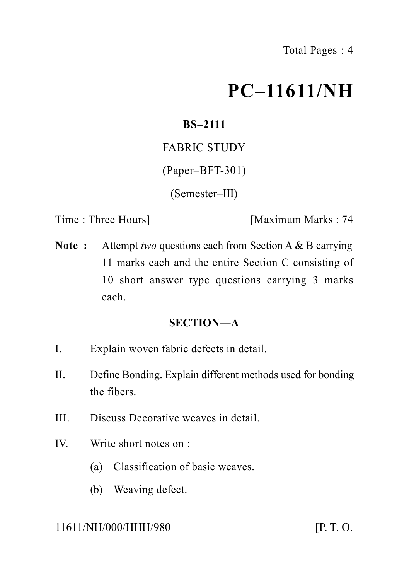# **PC–11611/NH**

# **BS–2111**

FABRIC STUDY

(Paper–BFT-301)

(Semester–III)

Time : Three Hours] [Maximum Marks : 74

**Note :** Attempt *two* questions each from Section A & B carrying 11 marks each and the entire Section C consisting of 10 short answer type questions carrying 3 marks each.

#### **SECTION—A**

- I. Explain woven fabric defects in detail.
- II. Define Bonding. Explain different methods used for bonding the fibers.
- III. Discuss Decorative weaves in detail.
- IV. Write short notes on :
	- (a) Classification of basic weaves.
	- (b) Weaving defect.

#### 11611/NH/000/HHH/980 [P. T. O.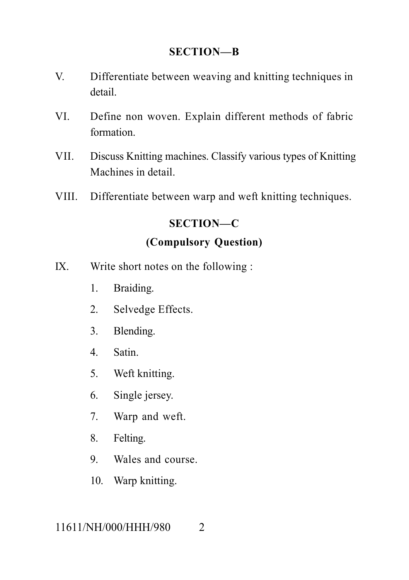#### **SECTION—B**

- V. Differentiate between weaving and knitting techniques in detail.
- VI. Define non woven. Explain different methods of fabric formation.
- VII. Discuss Knitting machines. Classify various types of Knitting Machines in detail.
- VIII. Differentiate between warp and weft knitting techniques.

# **SECTION—C**

### **(Compulsory Question)**

- IX. Write short notes on the following :
	- 1. Braiding.
	- 2. Selvedge Effects.
	- 3. Blending.
	- 4. Satin.
	- 5. Weft knitting.
	- 6. Single jersey.
	- 7. Warp and weft.
	- 8. Felting.
	- 9. Wales and course.
	- 10. Warp knitting.

#### 11611/NH/000/HHH/980 2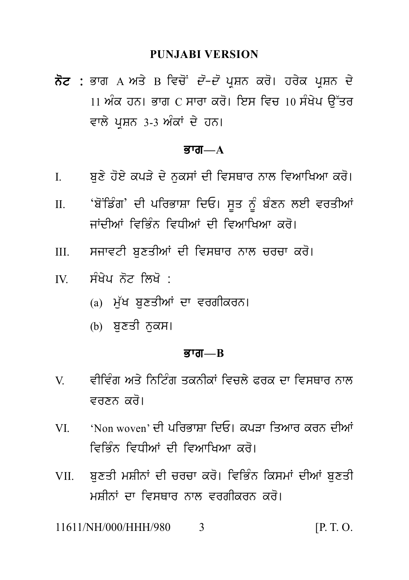ਨੋਟ : ਭਾਗ A ਅਤੇ B ਵਿਚੋਂ *ਦੋ-ਦੋ* ਪੁਸ਼ਨ ਕਰੋ। ਹਰੇਕ ਪੁਸ਼ਨ ਦੇ <u>।। ਅੰਕ ਹਨ। ਭਾਗ  $C$  ਸਾਰਾ ਕਰੋ। ਇਸ ਵਿਚ 10 ਸੰਖੇਪ ਉੱਤਰ</u> ਵਾਲੇ ਪਸ਼ਨ 3-3 ਅੰਕਾਂ ਦੇ ਹਨ।

#### ਭਾਗ $-\mathbf{A}$

- ਬਣੇ ਹੋਏ ਕਪੜੇ ਦੇ ਨਕਸਾਂ ਦੀ ਵਿਸਥਾਰ ਨਾਲ ਵਿਆਖਿਆ ਕਰੋ।  $\mathbf{I}$
- 'ਬੋਂਡਿੰਗ' ਦੀ ਪਰਿਭਾਸ਼ਾ ਦਿਓ। ਸਤ ਨੂੰ ਬੰਣਨ ਲਈ ਵਰਤੀਆਂ  $\Pi$ ਜਾਂਦੀਆਂ ਵਿਕਿੰਨ ਵਿਧੀਆਂ ਦੀ ਵਿਆਖਿਆ ਕਰੋ।
- ਸਜਾਵਟੀ ਬਣਤੀਆਂ ਦੀ ਵਿਸਥਾਰ ਨਾਲ ਚਰਚਾ ਕਰੋ।  $III$
- ਸੰਖੇਪ ਨੋਟ ਲਿਖੋ :  $\mathbf{I}$ 
	- (a) ਮੁੱਖ ਬੁਣਤੀਆਂ ਦਾ ਵਰਗੀਕਰਨ।
	- (b) ਬਣਤੀ ਨਕਸ।

#### **ਭਾਗ—** $B$

- ਵੀਵਿੰਗ ਅਤੇ ਨਿਟਿੰਗ ਤਕਨੀਕਾਂ ਵਿਜਲੇ ਫਰਕ ਦਾ ਵਿਸ਼ਸਾਰ ਨਾਲ  $V$ ਵਰਣਨ ਕਰੋ।
- 'Non woven' ਦੀ ਪਰਿਕਾਸਾ ਦਿਓ। ਕਪਤਾ ਤਿਆਰ ਕਰਨ ਦੀਆਂ **VI** ਵਿਭਿੰਨ ਵਿਧੀਆਂ ਦੀ ਵਿਆਖਿਆ ਕਰੋ।
- ਬਣਤੀ ਮਸ਼ੀਨਾਂ ਦੀ ਚਰਚਾ ਕਰੋ। ਵਿਭਿੰਨ ਕਿਸਮਾਂ ਦੀਆਂ ਬਣਤੀ VII. ਮਸ਼ੀਨਾਂ ਦਾ ਵਿਸਥਾਰ ਨਾਲ ਵਰਗੀਕਰਨ ਕਰੋ।

11611/NH/000/HHH/980  $[P, T, O]$  $\mathbf{3}$